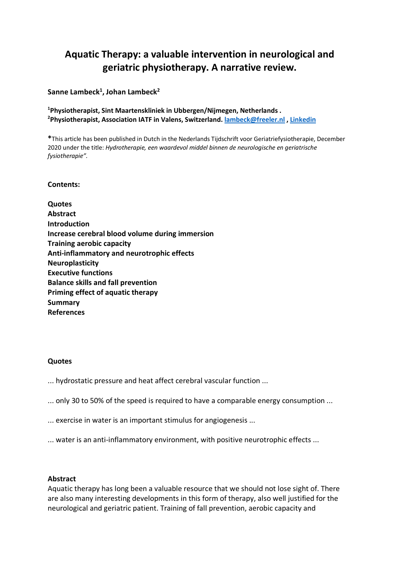# **Aquatic Therapy: a valuable intervention in neurological and geriatric physiotherapy. A narrative review.**

#### Sanne Lambeck<sup>1</sup>, Johan Lambeck<sup>2</sup>

**1 Physiotherapist, Sint Maartenskliniek in Ubbergen/Nijmegen, Netherlands . 2 Physiotherapist, Association IATF in Valens, Switzerland. lambeck@freeler.nl , Linkedin**

**\***This article has been published in Dutch in the Nederlands Tijdschrift voor Geriatriefysiotherapie, December 2020 under the title: *Hydrotherapie, een waardevol middel binnen de neurologische en geriatrische fysiotherapie".*

#### **Contents:**

**Quotes Abstract Introduction Increase cerebral blood volume during immersion Training aerobic capacity Anti-inflammatory and neurotrophic effects Neuroplasticity Executive functions Balance skills and fall prevention Priming effect of aquatic therapy Summary References**

#### **Quotes**

- ... hydrostatic pressure and heat affect cerebral vascular function ...
- ... only 30 to 50% of the speed is required to have a comparable energy consumption ...
- ... exercise in water is an important stimulus for angiogenesis ...
- ... water is an anti-inflammatory environment, with positive neurotrophic effects ...

#### **Abstract**

Aquatic therapy has long been a valuable resource that we should not lose sight of. There are also many interesting developments in this form of therapy, also well justified for the neurological and geriatric patient. Training of fall prevention, aerobic capacity and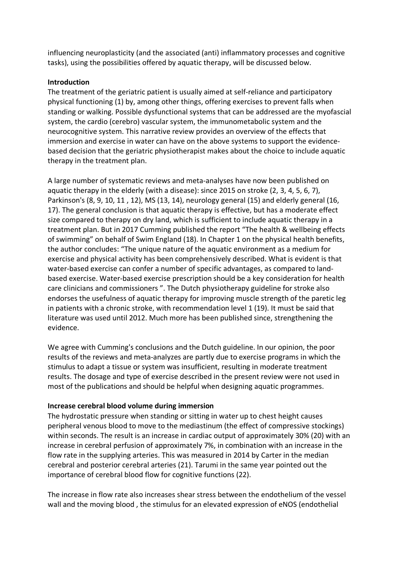influencing neuroplasticity (and the associated (anti) inflammatory processes and cognitive tasks), using the possibilities offered by aquatic therapy, will be discussed below.

#### **Introduction**

The treatment of the geriatric patient is usually aimed at self-reliance and participatory physical functioning (1) by, among other things, offering exercises to prevent falls when standing or walking. Possible dysfunctional systems that can be addressed are the myofascial system, the cardio (cerebro) vascular system, the immunometabolic system and the neurocognitive system. This narrative review provides an overview of the effects that immersion and exercise in water can have on the above systems to support the evidencebased decision that the geriatric physiotherapist makes about the choice to include aquatic therapy in the treatment plan.

A large number of systematic reviews and meta-analyses have now been published on aquatic therapy in the elderly (with a disease): since 2015 on stroke (2, 3, 4, 5, 6, 7), Parkinson's (8, 9, 10, 11 , 12), MS (13, 14), neurology general (15) and elderly general (16, 17). The general conclusion is that aquatic therapy is effective, but has a moderate effect size compared to therapy on dry land, which is sufficient to include aquatic therapy in a treatment plan. But in 2017 Cumming published the report "The health & wellbeing effects of swimming" on behalf of Swim England (18). In Chapter 1 on the physical health benefits, the author concludes: "The unique nature of the aquatic environment as a medium for exercise and physical activity has been comprehensively described. What is evident is that water-based exercise can confer a number of specific advantages, as compared to landbased exercise. Water-based exercise prescription should be a key consideration for health care clinicians and commissioners ". The Dutch physiotherapy guideline for stroke also endorses the usefulness of aquatic therapy for improving muscle strength of the paretic leg in patients with a chronic stroke, with recommendation level 1 (19). It must be said that literature was used until 2012. Much more has been published since, strengthening the evidence.

We agree with Cumming's conclusions and the Dutch guideline. In our opinion, the poor results of the reviews and meta-analyzes are partly due to exercise programs in which the stimulus to adapt a tissue or system was insufficient, resulting in moderate treatment results. The dosage and type of exercise described in the present review were not used in most of the publications and should be helpful when designing aquatic programmes.

#### **Increase cerebral blood volume during immersion**

The hydrostatic pressure when standing or sitting in water up to chest height causes peripheral venous blood to move to the mediastinum (the effect of compressive stockings) within seconds. The result is an increase in cardiac output of approximately 30% (20) with an increase in cerebral perfusion of approximately 7%, in combination with an increase in the flow rate in the supplying arteries. This was measured in 2014 by Carter in the median cerebral and posterior cerebral arteries (21). Tarumi in the same year pointed out the importance of cerebral blood flow for cognitive functions (22).

The increase in flow rate also increases shear stress between the endothelium of the vessel wall and the moving blood , the stimulus for an elevated expression of eNOS (endothelial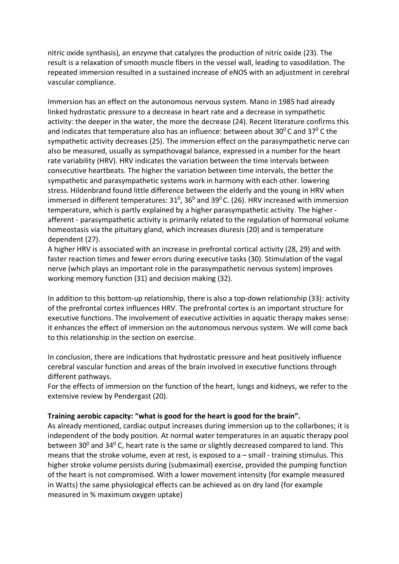nitric oxide synthasis), an enzyme that catalyzes the production of nitric oxide (23). The result is a relaxation of smooth muscle fibers in the vessel wall, leading to vasodilation. The repeated immersion resulted in a sustained increase of eNOS with an adjustment in cerebral vascular compliance.

Immersion has an effect on the autonomous nervous system. Mano in 1985 had already linked hydrostatic pressure to a decrease in heart rate and a decrease in sympathetic activity: the deeper in the water, the more the decrease (24). Recent literature confirms this and indicates that temperature also has an influence: between about 30 $^{\circ}$ C and 37 $^{\circ}$ C the sympathetic activity decreases (25). The immersion effect on the parasympathetic nerve can also be measured, usually as sympathovagal balance, expressed in a number for the heart rate variability (HRV). HRV indicates the variation between the time intervals between consecutive heartbeats. The higher the variation between time intervals, the better the sympathetic and parasympathetic systems work in harmony with each other. lowering stress. Hildenbrand found little difference between the elderly and the young in HRV when immersed in different temperatures:  $31^0$ ,  $36^0$  and  $39^0$ C. (26). HRV increased with immersion temperature, which is partly explained by a higher parasympathetic activity. The higher afferent - parasympathetic activity is primarily related to the regulation of hormonal volume homeostasis via the pituitary gland, which increases diuresis (20) and is temperature dependent (27).

A higher HRV is associated with an increase in prefrontal cortical activity (28, 29) and with faster reaction times and fewer errors during executive tasks (30). Stimulation of the vagal nerve (which plays an important role in the parasympathetic nervous system) improves working memory function (31) and decision making (32).

In addition to this bottom-up relationship, there is also a top-down relationship (33): activity of the prefrontal cortex influences HRV. The prefrontal cortex is an important structure for executive functions. The involvement of executive activities in aquatic therapy makes sense: it enhances the effect of immersion on the autonomous nervous system. We will come back to this relationship in the section on exercise.

In conclusion, there are indications that hydrostatic pressure and heat positively influence cerebral vascular function and areas of the brain involved in executive functions through different pathways.

For the effects of immersion on the function of the heart, lungs and kidneys, we refer to the extensive review by Pendergast (20).

# **Training aerobic capacity: "what is good for the heart is good for the brain".**

As already mentioned, cardiac output increases during immersion up to the collarbones; it is independent of the body position. At normal water temperatures in an aquatic therapy pool between 30 $^{\circ}$  and 34 $^{\circ}$  C, heart rate is the same or slightly decreased compared to land. This means that the stroke volume, even at rest, is exposed to a – small - training stimulus. This higher stroke volume persists during (submaximal) exercise, provided the pumping function of the heart is not compromised. With a lower movement intensity (for example measured in Watts) the same physiological effects can be achieved as on dry land (for example measured in % maximum oxygen uptake)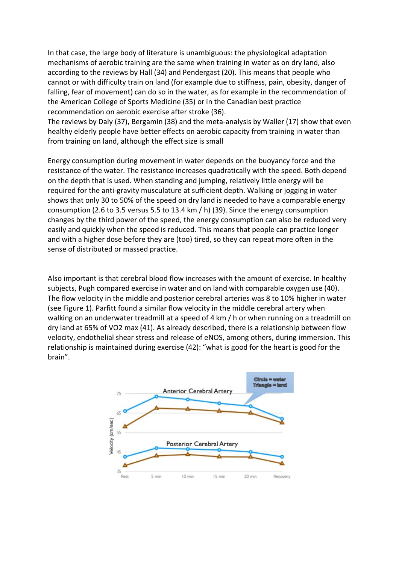In that case, the large body of literature is unambiguous: the physiological adaptation mechanisms of aerobic training are the same when training in water as on dry land, also according to the reviews by Hall (34) and Pendergast (20). This means that people who cannot or with difficulty train on land (for example due to stiffness, pain, obesity, danger of falling, fear of movement) can do so in the water, as for example in the recommendation of the American College of Sports Medicine (35) or in the Canadian best practice recommendation on aerobic exercise after stroke (36).

The reviews by Daly (37), Bergamin (38) and the meta-analysis by Waller (17) show that even healthy elderly people have better effects on aerobic capacity from training in water than from training on land, although the effect size is small

Energy consumption during movement in water depends on the buoyancy force and the resistance of the water. The resistance increases quadratically with the speed. Both depend on the depth that is used. When standing and jumping, relatively little energy will be required for the anti-gravity musculature at sufficient depth. Walking or jogging in water shows that only 30 to 50% of the speed on dry land is needed to have a comparable energy consumption (2.6 to 3.5 versus 5.5 to 13.4 km / h) (39). Since the energy consumption changes by the third power of the speed, the energy consumption can also be reduced very easily and quickly when the speed is reduced. This means that people can practice longer and with a higher dose before they are (too) tired, so they can repeat more often in the sense of distributed or massed practice.

Also important is that cerebral blood flow increases with the amount of exercise. In healthy subjects, Pugh compared exercise in water and on land with comparable oxygen use (40). The flow velocity in the middle and posterior cerebral arteries was 8 to 10% higher in water (see Figure 1). Parfitt found a similar flow velocity in the middle cerebral artery when walking on an underwater treadmill at a speed of 4 km / h or when running on a treadmill on dry land at 65% of VO2 max (41). As already described, there is a relationship between flow velocity, endothelial shear stress and release of eNOS, among others, during immersion. This relationship is maintained during exercise (42): "what is good for the heart is good for the brain".

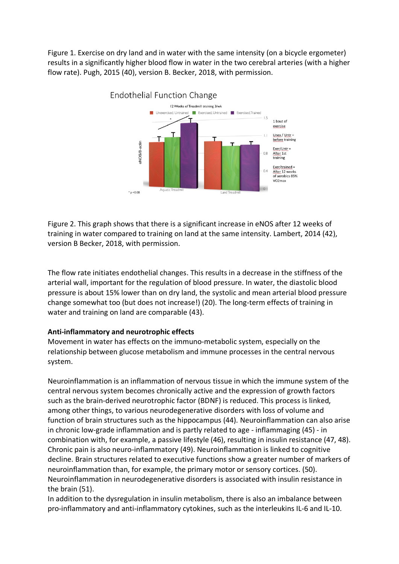Figure 1. Exercise on dry land and in water with the same intensity (on a bicycle ergometer) results in a significantly higher blood flow in water in the two cerebral arteries (with a higher flow rate). Pugh, 2015 (40), version B. Becker, 2018, with permission.



Figure 2. This graph shows that there is a significant increase in eNOS after 12 weeks of training in water compared to training on land at the same intensity. Lambert, 2014 (42), version B Becker, 2018, with permission.

The flow rate initiates endothelial changes. This results in a decrease in the stiffness of the arterial wall, important for the regulation of blood pressure. In water, the diastolic blood pressure is about 15% lower than on dry land, the systolic and mean arterial blood pressure change somewhat too (but does not increase!) (20). The long-term effects of training in water and training on land are comparable (43).

# **Anti-inflammatory and neurotrophic effects**

Movement in water has effects on the immuno-metabolic system, especially on the relationship between glucose metabolism and immune processes in the central nervous system.

Neuroinflammation is an inflammation of nervous tissue in which the immune system of the central nervous system becomes chronically active and the expression of growth factors such as the brain-derived neurotrophic factor (BDNF) is reduced. This process is linked, among other things, to various neurodegenerative disorders with loss of volume and function of brain structures such as the hippocampus (44). Neuroinflammation can also arise in chronic low-grade inflammation and is partly related to age - inflammaging (45) - in combination with, for example, a passive lifestyle (46), resulting in insulin resistance (47, 48). Chronic pain is also neuro-inflammatory (49). Neuroinflammation is linked to cognitive decline. Brain structures related to executive functions show a greater number of markers of neuroinflammation than, for example, the primary motor or sensory cortices. (50). Neuroinflammation in neurodegenerative disorders is associated with insulin resistance in the brain (51).

In addition to the dysregulation in insulin metabolism, there is also an imbalance between pro-inflammatory and anti-inflammatory cytokines, such as the interleukins IL-6 and IL-10.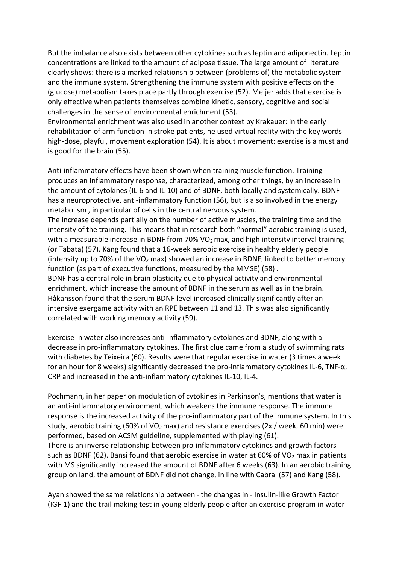But the imbalance also exists between other cytokines such as leptin and adiponectin. Leptin concentrations are linked to the amount of adipose tissue. The large amount of literature clearly shows: there is a marked relationship between (problems of) the metabolic system and the immune system. Strengthening the immune system with positive effects on the (glucose) metabolism takes place partly through exercise (52). Meijer adds that exercise is only effective when patients themselves combine kinetic, sensory, cognitive and social challenges in the sense of environmental enrichment (53).

Environmental enrichment was also used in another context by Krakauer: in the early rehabilitation of arm function in stroke patients, he used virtual reality with the key words high-dose, playful, movement exploration (54). It is about movement: exercise is a must and is good for the brain (55).

Anti-inflammatory effects have been shown when training muscle function. Training produces an inflammatory response, characterized, among other things, by an increase in the amount of cytokines (IL-6 and IL-10) and of BDNF, both locally and systemically. BDNF has a neuroprotective, anti-inflammatory function (56), but is also involved in the energy metabolism , in particular of cells in the central nervous system.

The increase depends partially on the number of active muscles, the training time and the intensity of the training. This means that in research both "normal" aerobic training is used, with a measurable increase in BDNF from 70% VO<sub>2</sub> max, and high intensity interval training (or Tabata) (57). Kang found that a 16-week aerobic exercise in healthy elderly people (intensity up to 70% of the  $VO<sub>2</sub>$  max) showed an increase in BDNF, linked to better memory function (as part of executive functions, measured by the MMSE) (58) .

BDNF has a central role in brain plasticity due to physical activity and environmental enrichment, which increase the amount of BDNF in the serum as well as in the brain. Håkansson found that the serum BDNF level increased clinically significantly after an intensive exergame activity with an RPE between 11 and 13. This was also significantly correlated with working memory activity (59).

Exercise in water also increases anti-inflammatory cytokines and BDNF, along with a decrease in pro-inflammatory cytokines. The first clue came from a study of swimming rats with diabetes by Teixeira (60). Results were that regular exercise in water (3 times a week for an hour for 8 weeks) significantly decreased the pro-inflammatory cytokines IL-6, TNF-α, CRP and increased in the anti-inflammatory cytokines IL-10, IL-4.

Pochmann, in her paper on modulation of cytokines in Parkinson's, mentions that water is an anti-inflammatory environment, which weakens the immune response. The immune response is the increased activity of the pro-inflammatory part of the immune system. In this study, aerobic training (60% of VO<sub>2</sub> max) and resistance exercises (2x / week, 60 min) were performed, based on ACSM guideline, supplemented with playing (61).

There is an inverse relationship between pro-inflammatory cytokines and growth factors such as BDNF (62). Bansi found that aerobic exercise in water at 60% of VO<sub>2</sub> max in patients with MS significantly increased the amount of BDNF after 6 weeks (63). In an aerobic training group on land, the amount of BDNF did not change, in line with Cabral (57) and Kang (58).

Ayan showed the same relationship between - the changes in - Insulin-like Growth Factor (IGF-1) and the trail making test in young elderly people after an exercise program in water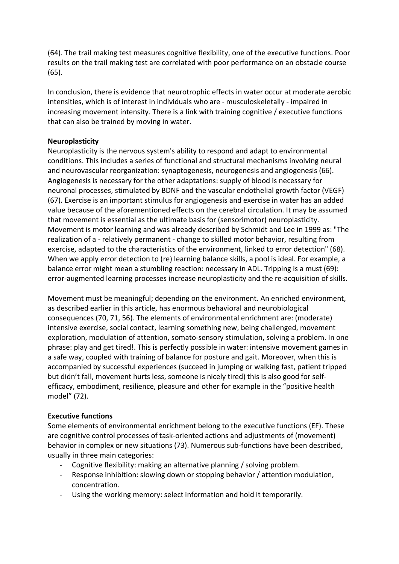(64). The trail making test measures cognitive flexibility, one of the executive functions. Poor results on the trail making test are correlated with poor performance on an obstacle course (65).

In conclusion, there is evidence that neurotrophic effects in water occur at moderate aerobic intensities, which is of interest in individuals who are - musculoskeletally - impaired in increasing movement intensity. There is a link with training cognitive / executive functions that can also be trained by moving in water.

#### **Neuroplasticity**

Neuroplasticity is the nervous system's ability to respond and adapt to environmental conditions. This includes a series of functional and structural mechanisms involving neural and neurovascular reorganization: synaptogenesis, neurogenesis and angiogenesis (66). Angiogenesis is necessary for the other adaptations: supply of blood is necessary for neuronal processes, stimulated by BDNF and the vascular endothelial growth factor (VEGF) (67). Exercise is an important stimulus for angiogenesis and exercise in water has an added value because of the aforementioned effects on the cerebral circulation. It may be assumed that movement is essential as the ultimate basis for (sensorimotor) neuroplasticity. Movement is motor learning and was already described by Schmidt and Lee in 1999 as: "The realization of a - relatively permanent - change to skilled motor behavior, resulting from exercise, adapted to the characteristics of the environment, linked to error detection" (68). When we apply error detection to (re) learning balance skills, a pool is ideal. For example, a balance error might mean a stumbling reaction: necessary in ADL. Tripping is a must (69): error-augmented learning processes increase neuroplasticity and the re-acquisition of skills.

Movement must be meaningful; depending on the environment. An enriched environment, as described earlier in this article, has enormous behavioral and neurobiological consequences (70, 71, 56). The elements of environmental enrichment are: (moderate) intensive exercise, social contact, learning something new, being challenged, movement exploration, modulation of attention, somato-sensory stimulation, solving a problem. In one phrase: play and get tired!. This is perfectly possible in water: intensive movement games in a safe way, coupled with training of balance for posture and gait. Moreover, when this is accompanied by successful experiences (succeed in jumping or walking fast, patient tripped but didn't fall, movement hurts less, someone is nicely tired) this is also good for selfefficacy, embodiment, resilience, pleasure and other for example in the "positive health model" (72).

# **Executive functions**

Some elements of environmental enrichment belong to the executive functions (EF). These are cognitive control processes of task-oriented actions and adjustments of (movement) behavior in complex or new situations (73). Numerous sub-functions have been described, usually in three main categories:

- Cognitive flexibility: making an alternative planning / solving problem.
- Response inhibition: slowing down or stopping behavior / attention modulation, concentration.
- Using the working memory: select information and hold it temporarily.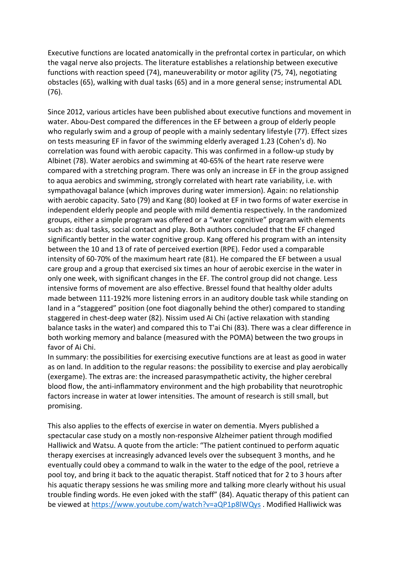Executive functions are located anatomically in the prefrontal cortex in particular, on which the vagal nerve also projects. The literature establishes a relationship between executive functions with reaction speed (74), maneuverability or motor agility (75, 74), negotiating obstacles (65), walking with dual tasks (65) and in a more general sense; instrumental ADL (76).

Since 2012, various articles have been published about executive functions and movement in water. Abou-Dest compared the differences in the EF between a group of elderly people who regularly swim and a group of people with a mainly sedentary lifestyle (77). Effect sizes on tests measuring EF in favor of the swimming elderly averaged 1.23 (Cohen's d). No correlation was found with aerobic capacity. This was confirmed in a follow-up study by Albinet (78). Water aerobics and swimming at 40-65% of the heart rate reserve were compared with a stretching program. There was only an increase in EF in the group assigned to aqua aerobics and swimming, strongly correlated with heart rate variability, i.e. with sympathovagal balance (which improves during water immersion). Again: no relationship with aerobic capacity. Sato (79) and Kang (80) looked at EF in two forms of water exercise in independent elderly people and people with mild dementia respectively. In the randomized groups, either a simple program was offered or a "water cognitive" program with elements such as: dual tasks, social contact and play. Both authors concluded that the EF changed significantly better in the water cognitive group. Kang offered his program with an intensity between the 10 and 13 of rate of perceived exertion (RPE). Fedor used a comparable intensity of 60-70% of the maximum heart rate (81). He compared the EF between a usual care group and a group that exercised six times an hour of aerobic exercise in the water in only one week, with significant changes in the EF. The control group did not change. Less intensive forms of movement are also effective. Bressel found that healthy older adults made between 111-192% more listening errors in an auditory double task while standing on land in a "staggered" position (one foot diagonally behind the other) compared to standing staggered in chest-deep water (82). Nissim used Ai Chi (active relaxation with standing balance tasks in the water) and compared this to T'ai Chi (83). There was a clear difference in both working memory and balance (measured with the POMA) between the two groups in favor of Ai Chi.

In summary: the possibilities for exercising executive functions are at least as good in water as on land. In addition to the regular reasons: the possibility to exercise and play aerobically (exergame). The extras are: the increased parasympathetic activity, the higher cerebral blood flow, the anti-inflammatory environment and the high probability that neurotrophic factors increase in water at lower intensities. The amount of research is still small, but promising.

This also applies to the effects of exercise in water on dementia. Myers published a spectacular case study on a mostly non-responsive Alzheimer patient through modified Halliwick and Watsu. A quote from the article: "The patient continued to perform aquatic therapy exercises at increasingly advanced levels over the subsequent 3 months, and he eventually could obey a command to walk in the water to the edge of the pool, retrieve a pool toy, and bring it back to the aquatic therapist. Staff noticed that for 2 to 3 hours after his aquatic therapy sessions he was smiling more and talking more clearly without his usual trouble finding words. He even joked with the staff" (84). Aquatic therapy of this patient can be viewed at https://www.youtube.com/watch?v=aQP1p8lWQys . Modified Halliwick was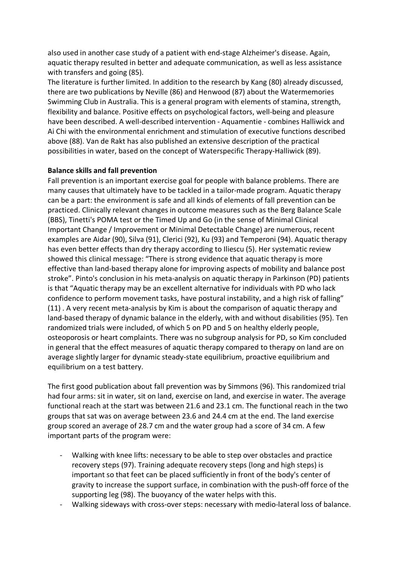also used in another case study of a patient with end-stage Alzheimer's disease. Again, aquatic therapy resulted in better and adequate communication, as well as less assistance with transfers and going (85).

The literature is further limited. In addition to the research by Kang (80) already discussed, there are two publications by Neville (86) and Henwood (87) about the Watermemories Swimming Club in Australia. This is a general program with elements of stamina, strength, flexibility and balance. Positive effects on psychological factors, well-being and pleasure have been described. A well-described intervention - Aquamentie - combines Halliwick and Ai Chi with the environmental enrichment and stimulation of executive functions described above (88). Van de Rakt has also published an extensive description of the practical possibilities in water, based on the concept of Waterspecific Therapy-Halliwick (89).

# **Balance skills and fall prevention**

Fall prevention is an important exercise goal for people with balance problems. There are many causes that ultimately have to be tackled in a tailor-made program. Aquatic therapy can be a part: the environment is safe and all kinds of elements of fall prevention can be practiced. Clinically relevant changes in outcome measures such as the Berg Balance Scale (BBS), Tinetti's POMA test or the Timed Up and Go (in the sense of Minimal Clinical Important Change / Improvement or Minimal Detectable Change) are numerous, recent examples are Aidar (90), Silva (91), Clerici (92), Ku (93) and Temperoni (94). Aquatic therapy has even better effects than dry therapy according to Iliescu (5). Her systematic review showed this clinical message: "There is strong evidence that aquatic therapy is more effective than land-based therapy alone for improving aspects of mobility and balance post stroke". Pinto's conclusion in his meta-analysis on aquatic therapy in Parkinson (PD) patients is that "Aquatic therapy may be an excellent alternative for individuals with PD who lack confidence to perform movement tasks, have postural instability, and a high risk of falling" (11) . A very recent meta-analysis by Kim is about the comparison of aquatic therapy and land-based therapy of dynamic balance in the elderly, with and without disabilities (95). Ten randomized trials were included, of which 5 on PD and 5 on healthy elderly people, osteoporosis or heart complaints. There was no subgroup analysis for PD, so Kim concluded in general that the effect measures of aquatic therapy compared to therapy on land are on average slightly larger for dynamic steady-state equilibrium, proactive equilibrium and equilibrium on a test battery.

The first good publication about fall prevention was by Simmons (96). This randomized trial had four arms: sit in water, sit on land, exercise on land, and exercise in water. The average functional reach at the start was between 21.6 and 23.1 cm. The functional reach in the two groups that sat was on average between 23.6 and 24.4 cm at the end. The land exercise group scored an average of 28.7 cm and the water group had a score of 34 cm. A few important parts of the program were:

- Walking with knee lifts: necessary to be able to step over obstacles and practice recovery steps (97). Training adequate recovery steps (long and high steps) is important so that feet can be placed sufficiently in front of the body's center of gravity to increase the support surface, in combination with the push-off force of the supporting leg (98). The buoyancy of the water helps with this.
- Walking sideways with cross-over steps: necessary with medio-lateral loss of balance.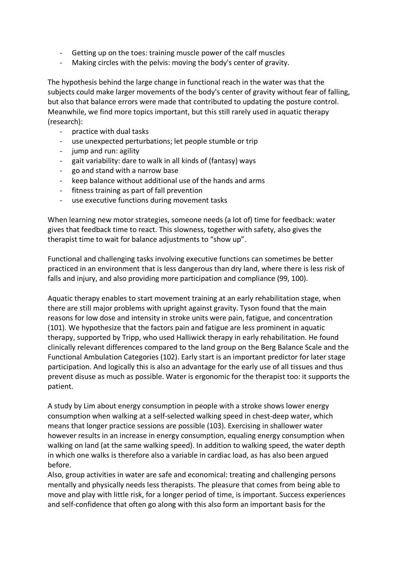- Getting up on the toes: training muscle power of the calf muscles
- Making circles with the pelvis: moving the body's center of gravity.

The hypothesis behind the large change in functional reach in the water was that the subjects could make larger movements of the body's center of gravity without fear of falling, but also that balance errors were made that contributed to updating the posture control. Meanwhile, we find more topics important, but this still rarely used in aquatic therapy (research):

- practice with dual tasks
- use unexpected perturbations; let people stumble or trip
- jump and run: agility
- gait variability: dare to walk in all kinds of (fantasy) ways
- go and stand with a narrow base
- keep balance without additional use of the hands and arms
- fitness training as part of fall prevention
- use executive functions during movement tasks

When learning new motor strategies, someone needs (a lot of) time for feedback: water gives that feedback time to react. This slowness, together with safety, also gives the therapist time to wait for balance adjustments to "show up".

Functional and challenging tasks involving executive functions can sometimes be better practiced in an environment that is less dangerous than dry land, where there is less risk of falls and injury, and also providing more participation and compliance (99, 100).

Aquatic therapy enables to start movement training at an early rehabilitation stage, when there are still major problems with upright against gravity. Tyson found that the main reasons for low dose and intensity in stroke units were pain, fatigue, and concentration (101). We hypothesize that the factors pain and fatigue are less prominent in aquatic therapy, supported by Tripp, who used Halliwick therapy in early rehabilitation. He found clinically relevant differences compared to the land group on the Berg Balance Scale and the Functional Ambulation Categories (102). Early start is an important predictor for later stage participation. And logically this is also an advantage for the early use of all tissues and thus prevent disuse as much as possible. Water is ergonomic for the therapist too: it supports the patient.

A study by Lim about energy consumption in people with a stroke shows lower energy consumption when walking at a self-selected walking speed in chest-deep water, which means that longer practice sessions are possible (103). Exercising in shallower water however results in an increase in energy consumption, equaling energy consumption when walking on land (at the same walking speed). In addition to walking speed, the water depth in which one walks is therefore also a variable in cardiac load, as has also been argued before.

Also, group activities in water are safe and economical: treating and challenging persons mentally and physically needs less therapists. The pleasure that comes from being able to move and play with little risk, for a longer period of time, is important. Success experiences and self-confidence that often go along with this also form an important basis for the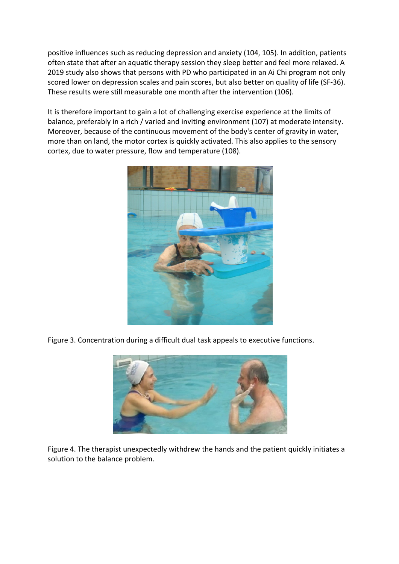positive influences such as reducing depression and anxiety (104, 105). In addition, patients often state that after an aquatic therapy session they sleep better and feel more relaxed. A 2019 study also shows that persons with PD who participated in an Ai Chi program not only scored lower on depression scales and pain scores, but also better on quality of life (SF-36). These results were still measurable one month after the intervention (106).

It is therefore important to gain a lot of challenging exercise experience at the limits of balance, preferably in a rich / varied and inviting environment (107) at moderate intensity. Moreover, because of the continuous movement of the body's center of gravity in water, more than on land, the motor cortex is quickly activated. This also applies to the sensory cortex, due to water pressure, flow and temperature (108).



Figure 3. Concentration during a difficult dual task appeals to executive functions.



Figure 4. The therapist unexpectedly withdrew the hands and the patient quickly initiates a solution to the balance problem.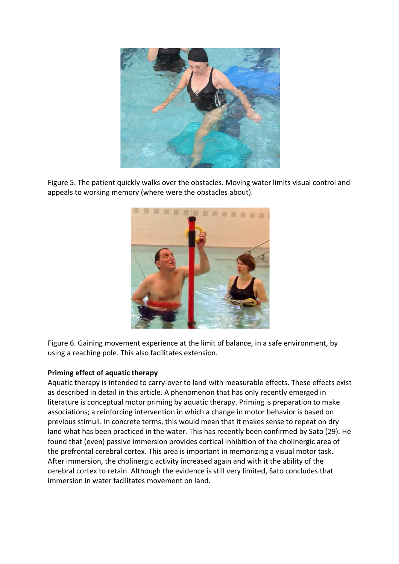

Figure 5. The patient quickly walks over the obstacles. Moving water limits visual control and appeals to working memory (where were the obstacles about).



Figure 6. Gaining movement experience at the limit of balance, in a safe environment, by using a reaching pole. This also facilitates extension.

# **Priming effect of aquatic therapy**

Aquatic therapy is intended to carry-over to land with measurable effects. These effects exist as described in detail in this article. A phenomenon that has only recently emerged in literature is conceptual motor priming by aquatic therapy. Priming is preparation to make associations; a reinforcing intervention in which a change in motor behavior is based on previous stimuli. In concrete terms, this would mean that it makes sense to repeat on dry land what has been practiced in the water. This has recently been confirmed by Sato (29). He found that (even) passive immersion provides cortical inhibition of the cholinergic area of the prefrontal cerebral cortex. This area is important in memorizing a visual motor task. After immersion, the cholinergic activity increased again and with it the ability of the cerebral cortex to retain. Although the evidence is still very limited, Sato concludes that immersion in water facilitates movement on land.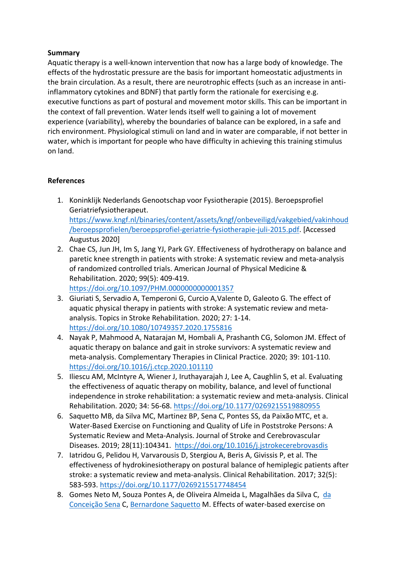### **Summary**

Aquatic therapy is a well-known intervention that now has a large body of knowledge. The effects of the hydrostatic pressure are the basis for important homeostatic adjustments in the brain circulation. As a result, there are neurotrophic effects (such as an increase in antiinflammatory cytokines and BDNF) that partly form the rationale for exercising e.g. executive functions as part of postural and movement motor skills. This can be important in the context of fall prevention. Water lends itself well to gaining a lot of movement experience (variability), whereby the boundaries of balance can be explored, in a safe and rich environment. Physiological stimuli on land and in water are comparable, if not better in water, which is important for people who have difficulty in achieving this training stimulus on land.

# **References**

- 1. Koninklijk Nederlands Genootschap voor Fysiotherapie (2015). Beroepsprofiel Geriatriefysiotherapeut. https://www.kngf.nl/binaries/content/assets/kngf/onbeveiligd/vakgebied/vakinhoud /beroepsprofielen/beroepsprofiel-geriatrie-fysiotherapie-juli-2015.pdf. [Accessed Augustus 2020]
- 2. Chae CS, Jun JH, Im S, Jang YJ, Park GY. Effectiveness of hydrotherapy on balance and paretic knee strength in patients with stroke: A systematic review and meta-analysis of randomized controlled trials. American Journal of Physical Medicine & Rehabilitation. 2020; 99(5): 409-419. https://doi.org/10.1097/PHM.0000000000001357
- 3. Giuriati S, Servadio A, Temperoni G, Curcio A,Valente D, Galeoto G. The effect of aquatic physical therapy in patients with stroke: A systematic review and metaanalysis. Topics in Stroke Rehabilitation. 2020; 27: 1-14. https://doi.org/10.1080/10749357.2020.1755816
- 4. Nayak P, Mahmood A, Natarajan M, Hombali A, Prashanth CG, Solomon JM. Effect of aquatic therapy on balance and gait in stroke survivors: A systematic review and meta-analysis. Complementary Therapies in Clinical Practice. 2020; 39: 101-110. https://doi.org/10.1016/j.ctcp.2020.101110
- 5. Iliescu AM, McIntyre A, Wiener J, Iruthayarajah J, Lee A, Caughlin S, et al. Evaluating the effectiveness of aquatic therapy on mobility, balance, and level of functional independence in stroke rehabilitation: a systematic review and meta-analysis. Clinical Rehabilitation. 2020; 34: 56-68. https://doi.org/10.1177/0269215519880955
- 6. Saquetto MB, da Silva MC, Martinez BP, Sena C, Pontes SS, da PaixãoMTC, et a. Water-Based Exercise on Functioning and Quality of Life in Poststroke Persons: A Systematic Review and Meta-Analysis. Journal of Stroke and Cerebrovascular Diseases. 2019; 28(11):104341. https://doi.org/10.1016/j.jstrokecerebrovasdis
- 7. Iatridou G, Pelidou H, Varvarousis D, Stergiou A, Beris A, Givissis P, et al. The effectiveness of hydrokinesiotherapy on postural balance of hemiplegic patients after stroke: a systematic review and meta-analysis. Clinical Rehabilitation. 2017; 32(5): 583-593. https://doi.org/10.1177/0269215517748454
- 8. Gomes Neto M, Souza Pontes A, de Oliveira Almeida L, Magalhães da Silva C, da Conceição Sena C, Bernardone Saquetto M. Effects of water-based exercise on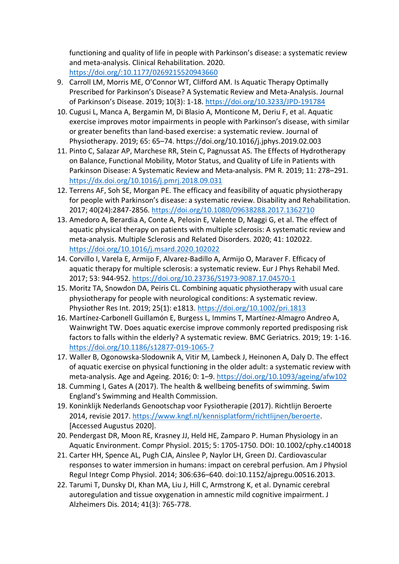functioning and quality of life in people with Parkinson's disease: a systematic review and meta-analysis. Clinical Rehabilitation. 2020. https://doi.org/:10.1177/0269215520943660

- 9. Carroll LM, Morris ME, O'Connor WT, Clifford AM. Is Aquatic Therapy Optimally Prescribed for Parkinson's Disease? A Systematic Review and Meta-Analysis. Journal of Parkinson's Disease. 2019; 10(3): 1-18. https://doi.org/10.3233/JPD-191784
- 10. Cugusi L, Manca A, Bergamin M, Di Blasio A, Monticone M, Deriu F, et al. Aquatic exercise improves motor impairments in people with Parkinson's disease, with similar or greater benefits than land-based exercise: a systematic review. Journal of Physiotherapy. 2019; 65: 65–74. https://doi.org/10.1016/j.jphys.2019.02.003
- 11. Pinto C, Salazar AP, Marchese RR, Stein C, Pagnussat AS. The Effects of Hydrotherapy on Balance, Functional Mobility, Motor Status, and Quality of Life in Patients with Parkinson Disease: A Systematic Review and Meta-analysis. PM R. 2019; 11: 278–291. https://dx.doi.org/10.1016/j.pmrj.2018.09.031
- 12. Terrens AF, Soh SE, Morgan PE. The efficacy and feasibility of aquatic physiotherapy for people with Parkinson's disease: a systematic review. Disability and Rehabilitation. 2017; 40(24):2847-2856. https://doi.org/10.1080/09638288.2017.1362710
- 13. Amedoro A, Berardia A, Conte A, Pelosin E, Valente D, Maggi G, et al. The effect of aquatic physical therapy on patients with multiple sclerosis: A systematic review and meta-analysis. Multiple Sclerosis and Related Disorders. 2020; 41: 102022. https://doi.org/10.1016/j.msard.2020.102022
- 14. Corvillo I, Varela E, Armijo F, Alvarez-Badillo A, Armijo O, Maraver F. Efficacy of aquatic therapy for multiple sclerosis: a systematic review. Eur J Phys Rehabil Med. 2017; 53: 944-952. https://doi.org/10.23736/S1973-9087.17.04570-1
- 15. Moritz TA, Snowdon DA, Peiris CL. Combining aquatic physiotherapy with usual care physiotherapy for people with neurological conditions: A systematic review. Physiother Res Int. 2019; 25(1): e1813. https://doi.org/10.1002/pri.1813
- 16. Martínez-Carbonell Guillamón E, Burgess L, Immins T, Martínez-Almagro Andreo A, Wainwright TW. Does aquatic exercise improve commonly reported predisposing risk factors to falls within the elderly? A systematic review. BMC Geriatrics. 2019; 19: 1-16. https://doi.org/10.1186/s12877-019-1065-7
- 17. Waller B, Ogonowska-Slodownik A, Vitir M, Lambeck J, Heinonen A, Daly D. The effect of aquatic exercise on physical functioning in the older adult: a systematic review with meta-analysis. Age and Ageing. 2016; 0: 1–9. https://doi.org/10.1093/ageing/afw102
- 18. Cumming I, Gates A (2017). The health & wellbeing benefits of swimming. Swim England's Swimming and Health Commission.
- 19. Koninklijk Nederlands Genootschap voor Fysiotherapie (2017). Richtlijn Beroerte 2014, revisie 2017. https://www.kngf.nl/kennisplatform/richtlijnen/beroerte. [Accessed Augustus 2020].
- 20. Pendergast DR, Moon RE, Krasney JJ, Held HE, Zamparo P. Human Physiology in an Aquatic Environment. Compr Physiol. 2015; 5: 1705-1750. DOI: 10.1002/cphy.c140018
- 21. Carter HH, Spence AL, Pugh CJA, Ainslee P, Naylor LH, Green DJ. Cardiovascular responses to water immersion in humans: impact on cerebral perfusion. Am J Physiol Regul Integr Comp Physiol. 2014; 306:636–640. doi:10.1152/ajpregu.00516.2013.
- 22. Tarumi T, Dunsky DI, Khan MA, Liu J, Hill C, Armstrong K, et al. Dynamic cerebral autoregulation and tissue oxygenation in amnestic mild cognitive impairment. J Alzheimers Dis. 2014; 41(3): 765-778.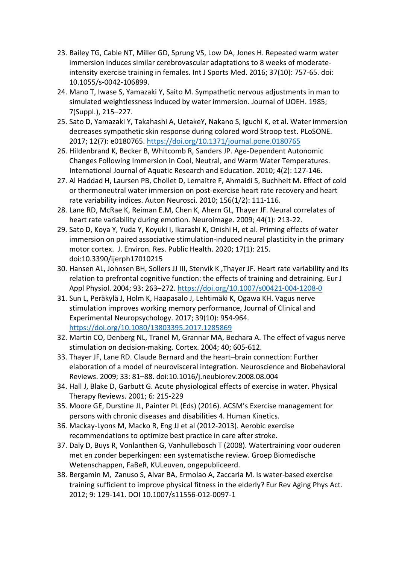- 23. Bailey TG, Cable NT, Miller GD, Sprung VS, Low DA, Jones H. Repeated warm water immersion induces similar cerebrovascular adaptations to 8 weeks of moderateintensity exercise training in females. Int J Sports Med. 2016; 37(10): 757-65. doi: 10.1055/s-0042-106899.
- 24. Mano T, Iwase S, Yamazaki Y, Saito M. Sympathetic nervous adjustments in man to simulated weightlessness induced by water immersion. Journal of UOEH. 1985; 7(Suppl.), 215–227.
- 25. Sato D, Yamazaki Y, Takahashi A, UetakeY, Nakano S, Iguchi K, et al. Water immersion decreases sympathetic skin response during colored word Stroop test. PLoSONE. 2017; 12(7): e0180765. https://doi.org/10.1371/journal.pone.0180765
- 26. Hildenbrand K, Becker B, Whitcomb R, Sanders JP. Age-Dependent Autonomic Changes Following Immersion in Cool, Neutral, and Warm Water Temperatures. International Journal of Aquatic Research and Education. 2010; 4(2): 127-146.
- 27. Al Haddad H, Laursen PB, Chollet D, Lemaitre F, Ahmaidi S, Buchheit M. Effect of cold or thermoneutral water immersion on post-exercise heart rate recovery and heart rate variability indices. Auton Neurosci. 2010; 156(1/2): 111-116.
- 28. Lane RD, McRae K, Reiman E.M, Chen K, Ahern GL, Thayer JF. Neural correlates of heart rate variability during emotion. Neuroimage. 2009; 44(1): 213-22.
- 29. Sato D, Koya Y, Yuda Y, Koyuki I, Ikarashi K, Onishi H, et al. Priming effects of water immersion on paired associative stimulation-induced neural plasticity in the primary motor cortex. J. Environ. Res. Public Health. 2020; 17(1): 215. doi:10.3390/ijerph17010215
- 30. Hansen AL, Johnsen BH, Sollers JJ III, Stenvik K ,Thayer JF. Heart rate variability and its relation to prefrontal cognitive function: the effects of training and detraining. Eur J Appl Physiol. 2004; 93: 263–272. https://doi.org/10.1007/s00421-004-1208-0
- 31. Sun L, Peräkylä J, Holm K, Haapasalo J, Lehtimäki K, Ogawa KH. Vagus nerve stimulation improves working memory performance, Journal of Clinical and Experimental Neuropsychology. 2017; 39(10): 954-964. https://doi.org/10.1080/13803395.2017.1285869
- 32. Martin CO, Denberg NL, Tranel M, Grannar MA, Bechara A. The effect of vagus nerve stimulation on decision-making. Cortex. 2004; 40; 605-612.
- 33. Thayer JF, Lane RD. Claude Bernard and the heart–brain connection: Further elaboration of a model of neurovisceral integration. Neuroscience and Biobehavioral Reviews. 2009; 33: 81–88. doi:10.1016/j.neubiorev.2008.08.004
- 34. Hall J, Blake D, Garbutt G. Acute physiological effects of exercise in water. Physical Therapy Reviews. 2001; 6: 215-229
- 35. Moore GE, Durstine JL, Painter PL (Eds) (2016). ACSM's Exercise management for persons with chronic diseases and disabilities 4. Human Kinetics.
- 36. Mackay-Lyons M, Macko R, Eng JJ et al (2012-2013). Aerobic exercise recommendations to optimize best practice in care after stroke.
- 37. Daly D, Buys R, Vonlanthen G, Vanhullebosch T (2008). Watertraining voor ouderen met en zonder beperkingen: een systematische review. Groep Biomedische Wetenschappen, FaBeR, KULeuven, ongepubliceerd.
- 38. Bergamin M, Zanuso S, Alvar BA, Ermolao A, Zaccaria M. Is water-based exercise training sufficient to improve physical fitness in the elderly? Eur Rev Aging Phys Act. 2012; 9: 129-141. DOI 10.1007/s11556-012-0097-1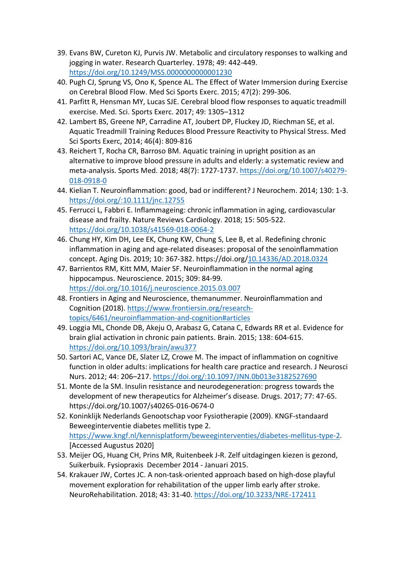- 39. Evans BW, Cureton KJ, Purvis JW. Metabolic and circulatory responses to walking and jogging in water. Research Quarterley. 1978; 49: 442-449. https://doi.org/10.1249/MSS.0000000000001230
- 40. Pugh CJ, Sprung VS, Ono K, Spence AL. The Effect of Water Immersion during Exercise on Cerebral Blood Flow. Med Sci Sports Exerc. 2015; 47(2): 299-306.
- 41. Parfitt R, Hensman MY, Lucas SJE. Cerebral blood flow responses to aquatic treadmill exercise. Med. Sci. Sports Exerc. 2017; 49: 1305–1312
- 42. Lambert BS, Greene NP, Carradine AT, Joubert DP, Fluckey JD, Riechman SE, et al. Aquatic Treadmill Training Reduces Blood Pressure Reactivity to Physical Stress. Med Sci Sports Exerc, 2014; 46(4): 809-816
- 43. Reichert T, Rocha CR, Barroso BM. Aquatic training in upright position as an alternative to improve blood pressure in adults and elderly: a systematic review and meta-analysis. Sports Med. 2018; 48(7): 1727-1737. https://doi.org/10.1007/s40279- 018-0918-0
- 44. Kielian T. Neuroinflammation: good, bad or indifferent? J Neurochem. 2014; 130: 1-3. https://doi.org/:10.1111/jnc.12755
- 45. Ferrucci L, Fabbri E. Inflammageing: chronic inflammation in aging, cardiovascular disease and frailty. Nature Reviews Cardiology. 2018; 15: 505-522. https://doi.org/10.1038/s41569-018-0064-2
- 46. Chung HY, Kim DH, Lee EK, Chung KW, Chung S, Lee B, et al. Redefining chronic inflammation in aging and age-related diseases: proposal of the senoinflammation concept. Aging Dis. 2019; 10: 367-382. https://doi.org/10.14336/AD.2018.0324
- 47. Barrientos RM, Kitt MM, Maier SF. Neuroinflammation in the normal aging hippocampus. Neuroscience. 2015; 309: 84-99. https://doi.org/10.1016/j.neuroscience.2015.03.007
- 48. Frontiers in Aging and Neuroscience, themanummer. Neuroinflammation and Cognition (2018). https://www.frontiersin.org/researchtopics/6461/neuroinflammation-and-cognition#articles
- 49. Loggia ML, Chonde DB, Akeju O, Arabasz G, Catana C, Edwards RR et al. Evidence for brain glial activation in chronic pain patients. Brain. 2015; 138: 604-615. https://doi.org/10.1093/brain/awu377
- 50. Sartori AC, Vance DE, Slater LZ, Crowe M. The impact of inflammation on cognitive function in older adults: implications for health care practice and research. J Neurosci Nurs. 2012; 44: 206–217. https://doi.org/:10.1097/JNN.0b013e3182527690
- 51. Monte de la SM. Insulin resistance and neurodegeneration: progress towards the development of new therapeutics for Alzheimer's disease. Drugs. 2017; 77: 47-65. https://doi.org/10.1007/s40265-016-0674-0
- 52. Koninklijk Nederlands Genootschap voor Fysiotherapie (2009). KNGF-standaard Beweeginterventie diabetes mellitis type 2. https://www.kngf.nl/kennisplatform/beweeginterventies/diabetes-mellitus-type-2. [Accessed Augustus 2020]
- 53. Meijer OG, Huang CH, Prins MR, Ruitenbeek J-R. Zelf uitdagingen kiezen is gezond, Suikerbuik. Fysiopraxis December 2014 - Januari 2015.
- 54. Krakauer JW, Cortes JC. A non-task-oriented approach based on high-dose playful movement exploration for rehabilitation of the upper limb early after stroke. NeuroRehabilitation. 2018; 43: 31-40. https://doi.org/10.3233/NRE-172411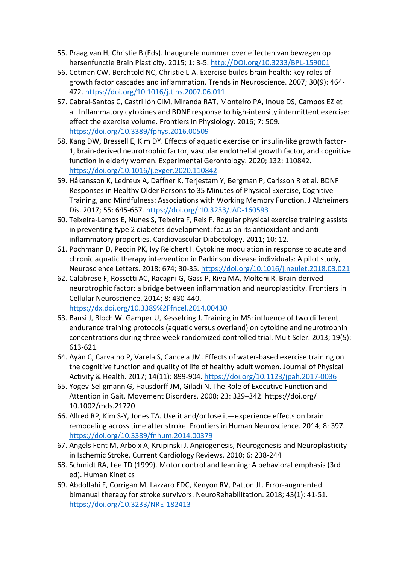- 55. Praag van H, Christie B (Eds). Inaugurele nummer over effecten van bewegen op hersenfunctie Brain Plasticity. 2015; 1: 3-5. http://DOI.org/10.3233/BPL-159001
- 56. Cotman CW, Berchtold NC, Christie L-A. Exercise builds brain health: key roles of growth factor cascades and inflammation. Trends in Neuroscience. 2007; 30(9): 464- 472. https://doi.org/10.1016/j.tins.2007.06.011
- 57. Cabral-Santos C, Castrillón CIM, Miranda RAT, Monteiro PA, Inoue DS, Campos EZ et al. Inflammatory cytokines and BDNF response to high-intensity intermittent exercise: effect the exercise volume. Frontiers in Physiology. 2016; 7: 509. https://doi.org/10.3389/fphys.2016.00509
- 58. Kang DW, Bressell E, Kim DY. Effects of aquatic exercise on insulin-like growth factor-1, brain-derived neurotrophic factor, vascular endothelial growth factor, and cognitive function in elderly women. Experimental Gerontology. 2020; 132: 110842. https://doi.org/10.1016/j.exger.2020.110842
- 59. Håkansson K, Ledreux A, Daffner K, Terjestam Y, Bergman P, Carlsson R et al. BDNF Responses in Healthy Older Persons to 35 Minutes of Physical Exercise, Cognitive Training, and Mindfulness: Associations with Working Memory Function. J Alzheimers Dis. 2017; 55: 645-657. https://doi.org/:10.3233/JAD-160593
- 60. Teixeira-Lemos E, Nunes S, Teixeira F, Reis F. Regular physical exercise training assists in preventing type 2 diabetes development: focus on its antioxidant and antiinflammatory properties. Cardiovascular Diabetology. 2011; 10: 12.
- 61. Pochmann D, Peccin PK, Ivy Reichert I. Cytokine modulation in response to acute and chronic aquatic therapy intervention in Parkinson disease individuals: A pilot study, Neuroscience Letters. 2018; 674; 30-35. https://doi.org/10.1016/j.neulet.2018.03.021
- 62. Calabrese F, Rossetti AC, Racagni G, Gass P, Riva MA, Molteni R. Brain-derived neurotrophic factor: a bridge between inflammation and neuroplasticity. Frontiers in Cellular Neuroscience. 2014; 8: 430-440. https://dx.doi.org/10.3389%2Ffncel.2014.00430
- 63. Bansi J, Bloch W, Gamper U, Kesselring J. Training in MS: influence of two different endurance training protocols (aquatic versus overland) on cytokine and neurotrophin concentrations during three week randomized controlled trial. Mult Scler. 2013; 19(5): 613-621.
- 64. Ayán C, Carvalho P, Varela S, Cancela JM. Effects of water-based exercise training on the cognitive function and quality of life of healthy adult women. Journal of Physical Activity & Health. 2017; 14(11): 899-904. https://doi.org/10.1123/jpah.2017-0036
- 65. Yogev-Seligmann G, Hausdorff JM, Giladi N. The Role of Executive Function and Attention in Gait. Movement Disorders. 2008; 23: 329–342. https://doi.org/ 10.1002/mds.21720
- 66. Allred RP, Kim S-Y, Jones TA. Use it and/or lose it—experience effects on brain remodeling across time after stroke. Frontiers in Human Neuroscience. 2014; 8: 397. https://doi.org/10.3389/fnhum.2014.00379
- 67. Angels Font M, Arboix A, Krupinski J. Angiogenesis, Neurogenesis and Neuroplasticity in Ischemic Stroke. Current Cardiology Reviews. 2010; 6: 238-244
- 68. Schmidt RA, Lee TD (1999). Motor control and learning: A behavioral emphasis (3rd ed). Human Kinetics
- 69. Abdollahi F, Corrigan M, Lazzaro EDC, Kenyon RV, Patton JL. Error-augmented bimanual therapy for stroke survivors. NeuroRehabilitation. 2018; 43(1): 41-51. https://doi.org/10.3233/NRE-182413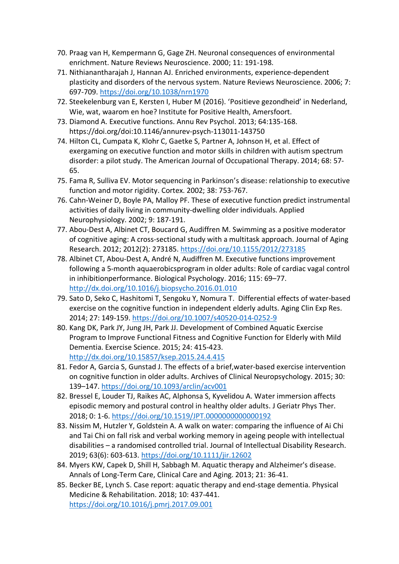- 70. Praag van H, Kempermann G, Gage ZH. Neuronal consequences of environmental enrichment. Nature Reviews Neuroscience. 2000; 11: 191-198.
- 71. Nithianantharajah J, Hannan AJ. Enriched environments, experience-dependent plasticity and disorders of the nervous system. Nature Reviews Neuroscience. 2006; 7: 697-709. https://doi.org/10.1038/nrn1970
- 72. Steekelenburg van E, Kersten I, Huber M (2016). 'Positieve gezondheid' in Nederland, Wie, wat, waarom en hoe? Institute for Positive Health, Amersfoort.
- 73. Diamond A. Executive functions. Annu Rev Psychol. 2013; 64:135-168. https://doi.org/doi:10.1146/annurev-psych-113011-143750
- 74. Hilton CL, Cumpata K, Klohr C, Gaetke S, Partner A, Johnson H, et al. Effect of exergaming on executive function and motor skills in children with autism spectrum disorder: a pilot study. The American Journal of Occupational Therapy. 2014; 68: 57- 65.
- 75. Fama R, Sulliva EV. Motor sequencing in Parkinson's disease: relationship to executive function and motor rigidity. Cortex. 2002; 38: 753-767.
- 76. Cahn-Weiner D, Boyle PA, Malloy PF. These of executive function predict instrumental activities of daily living in community-dwelling older individuals. Applied Neurophysiology. 2002; 9: 187-191.
- 77. Abou-Dest A, Albinet CT, Boucard G, Audiffren M. Swimming as a positive moderator of cognitive aging: A cross-sectional study with a multitask approach. Journal of Aging Research. 2012; 2012(2): 273185. https://doi.org/10.1155/2012/273185
- 78. Albinet CT, Abou-Dest A, André N, Audiffren M. Executive functions improvement following a 5-month aquaerobicsprogram in older adults: Role of cardiac vagal control in inhibitionperformance. Biological Psychology. 2016; 115: 69–77. http://dx.doi.org/10.1016/j.biopsycho.2016.01.010
- 79. Sato D, Seko C, Hashitomi T, Sengoku Y, Nomura T. Differential effects of water-based exercise on the cognitive function in independent elderly adults. Aging Clin Exp Res. 2014; 27: 149-159. https://doi.org/10.1007/s40520-014-0252-9
- 80. Kang DK, Park JY, Jung JH, Park JJ. Development of Combined Aquatic Exercise Program to Improve Functional Fitness and Cognitive Function for Elderly with Mild Dementia. Exercise Science. 2015; 24: 415-423. http://dx.doi.org/10.15857/ksep.2015.24.4.415
- 81. Fedor A, Garcia S, Gunstad J. The effects of a brief,water-based exercise intervention on cognitive function in older adults. Archives of Clinical Neuropsychology. 2015; 30: 139–147. https://doi.org/10.1093/arclin/acv001
- 82. Bressel E, Louder TJ, Raikes AC, Alphonsa S, Kyvelidou A. Water immersion affects episodic memory and postural control in healthy older adults. J Geriatr Phys Ther. 2018; 0: 1-6. https://doi.org/10.1519/JPT.0000000000000192
- 83. Nissim M, Hutzler Y, Goldstein A. A walk on water: comparing the influence of Ai Chi and Tai Chi on fall risk and verbal working memory in ageing people with intellectual disabilities – a randomised controlled trial. Journal of Intellectual Disability Research. 2019; 63(6): 603-613. https://doi.org/10.1111/jir.12602
- 84. Myers KW, Capek D, Shill H, Sabbagh M. Aquatic therapy and Alzheimer's disease. Annals of Long-Term Care, Clinical Care and Aging. 2013; 21: 36-41.
- 85. Becker BE, Lynch S. Case report: aquatic therapy and end-stage dementia. Physical Medicine & Rehabilitation. 2018; 10: 437-441. https://doi.org/10.1016/j.pmrj.2017.09.001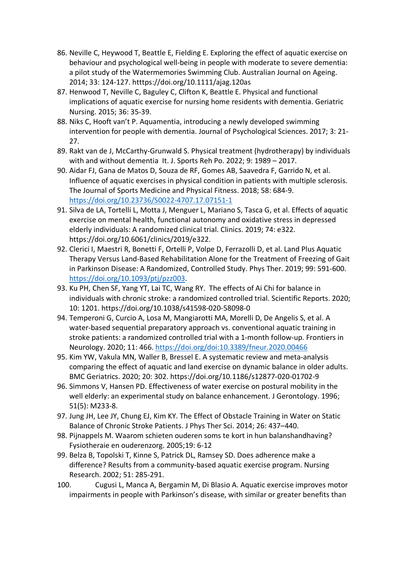- 86. Neville C, Heywood T, Beattle E, Fielding E. Exploring the effect of aquatic exercise on behaviour and psychological well-being in people with moderate to severe dementia: a pilot study of the Watermemories Swimming Club. Australian Journal on Ageing. 2014; 33: 124-127. htttps://doi.org/10.1111/ajag.120as
- 87. Henwood T, Neville C, Baguley C, Clifton K, Beattle E. Physical and functional implications of aquatic exercise for nursing home residents with dementia. Geriatric Nursing. 2015; 36: 35-39.
- 88. Niks C, Hooft van't P. Aquamentia, introducing a newly developed swimming intervention for people with dementia. Journal of Psychological Sciences. 2017; 3: 21- 27.
- 89. Rakt van de J, McCarthy-Grunwald S. Physical treatment (hydrotherapy) by individuals with and without dementia It. J. Sports Reh Po. 2022; 9: 1989 – 2017.
- 90. Aidar FJ, Gana de Matos D, Souza de RF, Gomes AB, Saavedra F, Garrido N, et al. Influence of aquatic exercises in physical condition in patients with multiple sclerosis. The Journal of Sports Medicine and Physical Fitness. 2018; 58: 684-9. https://doi.org/10.23736/S0022-4707.17.07151-1
- 91. Silva de LA, Tortelli L, Motta J, Menguer L, Mariano S, Tasca G, et al. Effects of aquatic exercise on mental health, functional autonomy and oxidative stress in depressed elderly individuals: A randomized clinical trial. Clinics. 2019; 74: e322. https://doi.org/10.6061/clinics/2019/e322.
- 92. Clerici I, Maestri R, Bonetti F, Ortelli P, Volpe D, Ferrazolli D, et al. Land Plus Aquatic Therapy Versus Land-Based Rehabilitation Alone for the Treatment of Freezing of Gait in Parkinson Disease: A Randomized, Controlled Study. Phys Ther. 2019; 99: 591-600. https://doi.org/10.1093/ptj/pzz003.
- 93. Ku PH, Chen SF, Yang YT, Lai TC, Wang RY. The effects of Ai Chi for balance in individuals with chronic stroke: a randomized controlled trial. Scientific Reports. 2020; 10: 1201. https://doi.org/10.1038/s41598-020-58098-0
- 94. Temperoni G, Curcio A, Losa M, Mangiarotti MA, Morelli D, De Angelis S, et al. A water-based sequential preparatory approach vs. conventional aquatic training in stroke patients: a randomized controlled trial with a 1-month follow-up. Frontiers in Neurology. 2020; 11: 466. https://doi.org/doi:10.3389/fneur.2020.00466
- 95. Kim YW, Vakula MN, Waller B, Bressel E. A systematic review and meta-analysis comparing the effect of aquatic and land exercise on dynamic balance in older adults. BMC Geriatrics. 2020; 20: 302. https://doi.org/10.1186/s12877-020-01702-9
- 96. Simmons V, Hansen PD. Effectiveness of water exercise on postural mobility in the well elderly: an experimental study on balance enhancement. J Gerontology. 1996; 51(5): M233-8.
- 97. Jung JH, Lee JY, Chung EJ, Kim KY. The Effect of Obstacle Training in Water on Static Balance of Chronic Stroke Patients. J Phys Ther Sci. 2014; 26: 437–440.
- 98. Pijnappels M. Waarom schieten ouderen soms te kort in hun balanshandhaving? Fysiotheraie en ouderenzorg. 2005;19: 6-12
- 99. Belza B, Topolski T, Kinne S, Patrick DL, Ramsey SD. Does adherence make a difference? Results from a community-based aquatic exercise program. Nursing Research. 2002; 51: 285-291.
- 100. Cugusi L, Manca A, Bergamin M, Di Blasio A. Aquatic exercise improves motor impairments in people with Parkinson's disease, with similar or greater benefits than